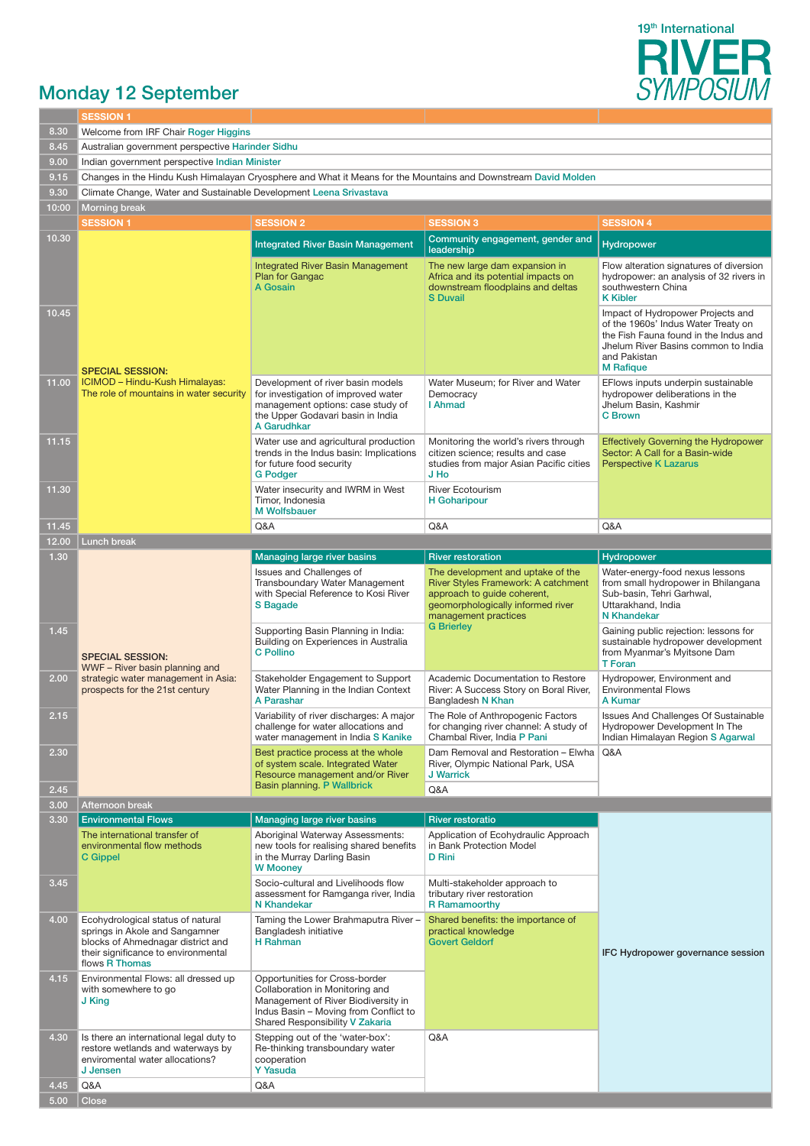

## Monday 12 September

|       | <b>SESSION 1</b>                                                                                                                                                                     |                                                                                                                                                                                      |                                                                                                                                                                      |                                                                                                                                                                                              |  |  |  |  |
|-------|--------------------------------------------------------------------------------------------------------------------------------------------------------------------------------------|--------------------------------------------------------------------------------------------------------------------------------------------------------------------------------------|----------------------------------------------------------------------------------------------------------------------------------------------------------------------|----------------------------------------------------------------------------------------------------------------------------------------------------------------------------------------------|--|--|--|--|
| 8.30  | Welcome from IRF Chair Roger Higgins                                                                                                                                                 |                                                                                                                                                                                      |                                                                                                                                                                      |                                                                                                                                                                                              |  |  |  |  |
| 8.45  | Australian government perspective Harinder Sidhu                                                                                                                                     |                                                                                                                                                                                      |                                                                                                                                                                      |                                                                                                                                                                                              |  |  |  |  |
| 9.00  | Indian government perspective Indian Minister                                                                                                                                        |                                                                                                                                                                                      |                                                                                                                                                                      |                                                                                                                                                                                              |  |  |  |  |
| 9.15  |                                                                                                                                                                                      |                                                                                                                                                                                      |                                                                                                                                                                      |                                                                                                                                                                                              |  |  |  |  |
| 9.30  | Changes in the Hindu Kush Himalayan Cryosphere and What it Means for the Mountains and Downstream David Molden<br>Climate Change, Water and Sustainable Development Leena Srivastava |                                                                                                                                                                                      |                                                                                                                                                                      |                                                                                                                                                                                              |  |  |  |  |
| 10:00 | <b>Morning break</b>                                                                                                                                                                 |                                                                                                                                                                                      |                                                                                                                                                                      |                                                                                                                                                                                              |  |  |  |  |
|       | <b>SESSION 1</b>                                                                                                                                                                     | <b>SESSION 2</b>                                                                                                                                                                     | <b>SESSION 3</b>                                                                                                                                                     | <b>SESSION 4</b>                                                                                                                                                                             |  |  |  |  |
| 10.30 |                                                                                                                                                                                      |                                                                                                                                                                                      | Community engagement, gender and                                                                                                                                     |                                                                                                                                                                                              |  |  |  |  |
|       |                                                                                                                                                                                      | <b>Integrated River Basin Management</b>                                                                                                                                             | leadership                                                                                                                                                           | <b>Hydropower</b>                                                                                                                                                                            |  |  |  |  |
|       |                                                                                                                                                                                      | <b>Integrated River Basin Management</b><br><b>Plan for Gangac</b><br>A Gosain                                                                                                       | The new large dam expansion in<br>Africa and its potential impacts on<br>downstream floodplains and deltas                                                           | Flow alteration signatures of diversion<br>hydropower: an analysis of 32 rivers in<br>southwestern China                                                                                     |  |  |  |  |
|       |                                                                                                                                                                                      |                                                                                                                                                                                      | <b>S</b> Duvail                                                                                                                                                      | <b>K</b> Kibler                                                                                                                                                                              |  |  |  |  |
| 10.45 | <b>SPECIAL SESSION:</b>                                                                                                                                                              |                                                                                                                                                                                      |                                                                                                                                                                      | Impact of Hydropower Projects and<br>of the 1960s' Indus Water Treaty on<br>the Fish Fauna found in the Indus and<br>Jhelum River Basins common to India<br>and Pakistan<br><b>M</b> Rafique |  |  |  |  |
| 11.00 | ICIMOD - Hindu-Kush Himalayas:<br>The role of mountains in water security                                                                                                            | Development of river basin models<br>for investigation of improved water<br>management options: case study of<br>the Upper Godavari basin in India<br>A Garudhkar                    | Water Museum; for River and Water<br>Democracy<br>I Ahmad                                                                                                            | EFlows inputs underpin sustainable<br>hydropower deliberations in the<br>Jhelum Basin, Kashmir<br><b>C</b> Brown                                                                             |  |  |  |  |
| 11.15 |                                                                                                                                                                                      | Water use and agricultural production<br>trends in the Indus basin: Implications<br>for future food security<br><b>G</b> Podger                                                      | Monitoring the world's rivers through<br>citizen science; results and case<br>studies from major Asian Pacific cities<br>J Ho                                        | <b>Effectively Governing the Hydropower</b><br>Sector: A Call for a Basin-wide<br><b>Perspective K Lazarus</b>                                                                               |  |  |  |  |
| 11.30 |                                                                                                                                                                                      | Water insecurity and IWRM in West<br>Timor, Indonesia<br><b>M</b> Wolfsbauer                                                                                                         | <b>River Ecotourism</b><br>H Goharipour                                                                                                                              |                                                                                                                                                                                              |  |  |  |  |
| 11.45 |                                                                                                                                                                                      | Q&A                                                                                                                                                                                  | Q&A                                                                                                                                                                  | Q&A                                                                                                                                                                                          |  |  |  |  |
| 12.00 | Lunch break                                                                                                                                                                          |                                                                                                                                                                                      |                                                                                                                                                                      |                                                                                                                                                                                              |  |  |  |  |
| 1.30  |                                                                                                                                                                                      | <b>Managing large river basins</b>                                                                                                                                                   | <b>River restoration</b>                                                                                                                                             | Hydropower                                                                                                                                                                                   |  |  |  |  |
|       |                                                                                                                                                                                      | Issues and Challenges of<br>Transboundary Water Management<br>with Special Reference to Kosi River<br>S Bagade                                                                       | The development and uptake of the<br>River Styles Framework: A catchment<br>approach to guide coherent,<br>geomorphologically informed river<br>management practices | Water-energy-food nexus lessons<br>from small hydropower in Bhilangana<br>Sub-basin, Tehri Garhwal,<br>Uttarakhand, India<br><b>N</b> Khandekar                                              |  |  |  |  |
| 1.45  | <b>SPECIAL SESSION:</b>                                                                                                                                                              | Supporting Basin Planning in India:<br>Building on Experiences in Australia<br><b>C</b> Pollino                                                                                      | <b>G</b> Brierley                                                                                                                                                    | Gaining public rejection: lessons for<br>sustainable hydropower development<br>from Myanmar's Myitsone Dam<br><b>T</b> Foran                                                                 |  |  |  |  |
| 2.00  | WWF - River basin planning and<br>strategic water management in Asia:<br>prospects for the 21st century                                                                              | Stakeholder Engagement to Support<br>Water Planning in the Indian Context<br>A Parashar                                                                                              | Academic Documentation to Restore<br>River: A Success Story on Boral River,<br>Bangladesh N Khan                                                                     | Hydropower, Environment and<br><b>Environmental Flows</b><br>A Kumar                                                                                                                         |  |  |  |  |
| 2.15  |                                                                                                                                                                                      | Variability of river discharges: A major<br>challenge for water allocations and<br>water management in India S Kanike                                                                | The Role of Anthropogenic Factors<br>for changing river channel: A study of<br>Chambal River, India P Pani                                                           | Issues And Challenges Of Sustainable<br>Hydropower Development In The<br>Indian Himalayan Region S Agarwal                                                                                   |  |  |  |  |
| 2.30  |                                                                                                                                                                                      | Best practice process at the whole<br>of system scale. Integrated Water<br>Resource management and/or River                                                                          | Dam Removal and Restoration - Elwha<br>River, Olympic National Park, USA<br><b>J Warrick</b>                                                                         | Q&A                                                                                                                                                                                          |  |  |  |  |
| 2.45  |                                                                                                                                                                                      | Basin planning. P Wallbrick                                                                                                                                                          | Q&A                                                                                                                                                                  |                                                                                                                                                                                              |  |  |  |  |
| 3.00  | Afternoon break                                                                                                                                                                      |                                                                                                                                                                                      |                                                                                                                                                                      |                                                                                                                                                                                              |  |  |  |  |
| 3.30  | <b>Environmental Flows</b>                                                                                                                                                           | Managing large river basins                                                                                                                                                          | <b>River restoratio</b>                                                                                                                                              |                                                                                                                                                                                              |  |  |  |  |
|       | The international transfer of<br>environmental flow methods<br>C Gippel                                                                                                              | Aboriginal Waterway Assessments:<br>new tools for realising shared benefits<br>in the Murray Darling Basin<br><b>W</b> Mooney                                                        | Application of Ecohydraulic Approach<br>in Bank Protection Model<br><b>D</b> Rini                                                                                    |                                                                                                                                                                                              |  |  |  |  |
| 3.45  |                                                                                                                                                                                      | Socio-cultural and Livelihoods flow<br>assessment for Ramganga river. India<br>N Khandekar                                                                                           | Multi-stakeholder approach to<br>tributary river restoration<br><b>R</b> Ramamoorthy                                                                                 |                                                                                                                                                                                              |  |  |  |  |
| 4.00  | Ecohydrological status of natural<br>springs in Akole and Sangamner<br>blocks of Ahmednagar district and<br>their significance to environmental<br>flows R Thomas                    | Taming the Lower Brahmaputra River -<br>Shared benefits: the importance of<br>Bangladesh initiative<br>practical knowledge<br><b>H</b> Rahman<br><b>Govert Geldorf</b>               |                                                                                                                                                                      | IFC Hydropower governance session                                                                                                                                                            |  |  |  |  |
| 4.15  | Environmental Flows: all dressed up<br>with somewhere to go<br>J King                                                                                                                | Opportunities for Cross-border<br>Collaboration in Monitoring and<br>Management of River Biodiversity in<br>Indus Basin - Moving from Conflict to<br>Shared Responsibility V Zakaria |                                                                                                                                                                      |                                                                                                                                                                                              |  |  |  |  |
| 4.30  | Is there an international legal duty to<br>restore wetlands and waterways by<br>enviromental water allocations?<br>J Jensen                                                          | Stepping out of the 'water-box':<br>Re-thinking transboundary water<br>cooperation<br><b>Y Yasuda</b>                                                                                | Q&A                                                                                                                                                                  |                                                                                                                                                                                              |  |  |  |  |
| 4.45  | Q&A                                                                                                                                                                                  | Q&A                                                                                                                                                                                  |                                                                                                                                                                      |                                                                                                                                                                                              |  |  |  |  |
| 5.00  | <b>Close</b>                                                                                                                                                                         |                                                                                                                                                                                      |                                                                                                                                                                      |                                                                                                                                                                                              |  |  |  |  |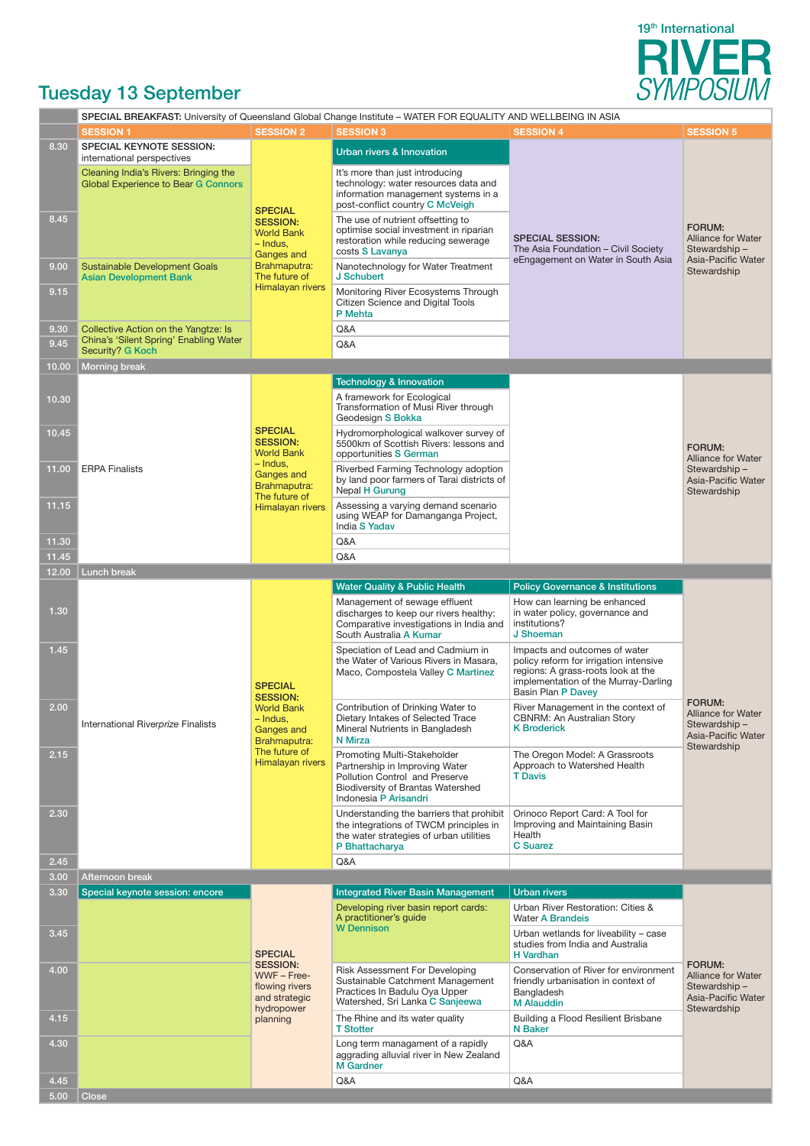

## Tuesday 13 September

|              |                                                                                                                                                 | SPECIAL BREAKFAST: University of Queensland Global Change Institute - WATER FOR EQUALITY AND WELLBEING IN ASIA |                                                                                                                                                               |                                                                                                                                                                                    |                                                                                                 |  |
|--------------|-------------------------------------------------------------------------------------------------------------------------------------------------|----------------------------------------------------------------------------------------------------------------|---------------------------------------------------------------------------------------------------------------------------------------------------------------|------------------------------------------------------------------------------------------------------------------------------------------------------------------------------------|-------------------------------------------------------------------------------------------------|--|
|              | <b>SESSION 1</b>                                                                                                                                | <b>SESSION 2</b>                                                                                               | <b>SESSION 3</b>                                                                                                                                              | <b>SESSION 4</b>                                                                                                                                                                   | <b>SESSION 5</b>                                                                                |  |
| 8.30         | SPECIAL KEYNOTE SESSION:<br>international perspectives                                                                                          |                                                                                                                | <b>Urban rivers &amp; Innovation</b>                                                                                                                          |                                                                                                                                                                                    |                                                                                                 |  |
|              | Cleaning India's Rivers: Bringing the<br><b>Global Experience to Bear G Connors</b>                                                             | <b>SPECIAL</b>                                                                                                 | It's more than just introducing<br>technology: water resources data and<br>information management systems in a<br>post-conflict country C McVeigh             |                                                                                                                                                                                    |                                                                                                 |  |
| 8.45         |                                                                                                                                                 | <b>SESSION:</b><br><b>World Bank</b><br>– Indus,<br>Ganges and                                                 | The use of nutrient offsetting to<br>optimise social investment in riparian<br>restoration while reducing sewerage<br>costs S Lavanya                         | <b>SPECIAL SESSION:</b><br>The Asia Foundation - Civil Society                                                                                                                     | FORUM:<br><b>Alliance for Water</b><br>Stewardship-<br>Asia-Pacific Water                       |  |
| 9.00         | Brahmaputra:<br><b>Sustainable Development Goals</b><br>The future of<br><b>Asian Development Bank</b>                                          |                                                                                                                | Nanotechnology for Water Treatment<br>J Schubert                                                                                                              | eEngagement on Water in South Asia                                                                                                                                                 | Stewardship                                                                                     |  |
| 9.15         |                                                                                                                                                 | Himalayan rivers                                                                                               |                                                                                                                                                               |                                                                                                                                                                                    |                                                                                                 |  |
| 9.30<br>9.45 | Collective Action on the Yangtze: Is<br>China's 'Silent Spring' Enabling Water                                                                  |                                                                                                                | Q&A<br>Q&A                                                                                                                                                    |                                                                                                                                                                                    |                                                                                                 |  |
|              | Security? G Koch                                                                                                                                |                                                                                                                |                                                                                                                                                               |                                                                                                                                                                                    |                                                                                                 |  |
| 10.00        | <b>Morning break</b>                                                                                                                            |                                                                                                                | <b>Technology &amp; Innovation</b>                                                                                                                            |                                                                                                                                                                                    |                                                                                                 |  |
|              |                                                                                                                                                 |                                                                                                                |                                                                                                                                                               |                                                                                                                                                                                    |                                                                                                 |  |
| 10.30        |                                                                                                                                                 |                                                                                                                | A framework for Ecological<br>Transformation of Musi River through<br>Geodesign S Bokka                                                                       |                                                                                                                                                                                    |                                                                                                 |  |
| 10.45        |                                                                                                                                                 | <b>SPECIAL</b><br><b>SESSION:</b><br><b>World Bank</b>                                                         | Hydromorphological walkover survey of<br>5500km of Scottish Rivers: lessons and<br>opportunities S German                                                     |                                                                                                                                                                                    | FORUM:<br><b>Alliance for Water</b>                                                             |  |
| 11.00        | <b>ERPA Finalists</b>                                                                                                                           | – Indus,<br>Ganges and<br>Brahmaputra:<br>The future of                                                        | Riverbed Farming Technology adoption<br>by land poor farmers of Tarai districts of<br><b>Nepal H Gurung</b>                                                   |                                                                                                                                                                                    | Stewardship-<br>Asia-Pacific Water<br>Stewardship                                               |  |
| 11.15        |                                                                                                                                                 | Himalayan rivers                                                                                               | Assessing a varying demand scenario<br>using WEAP for Damanganga Project,<br>India S Yadav                                                                    |                                                                                                                                                                                    |                                                                                                 |  |
| 11.30        |                                                                                                                                                 |                                                                                                                | Q&A                                                                                                                                                           |                                                                                                                                                                                    |                                                                                                 |  |
| 11.45        |                                                                                                                                                 |                                                                                                                | Q&A                                                                                                                                                           |                                                                                                                                                                                    |                                                                                                 |  |
| 12.00        | <b>Lunch break</b>                                                                                                                              |                                                                                                                |                                                                                                                                                               |                                                                                                                                                                                    |                                                                                                 |  |
|              |                                                                                                                                                 |                                                                                                                | <b>Water Quality &amp; Public Health</b>                                                                                                                      | <b>Policy Governance &amp; Institutions</b>                                                                                                                                        |                                                                                                 |  |
| 1.30         |                                                                                                                                                 |                                                                                                                | Management of sewage effluent<br>discharges to keep our rivers healthy:<br>Comparative investigations in India and<br>South Australia A Kumar                 | How can learning be enhanced<br>in water policy, governance and<br>institutions?<br>J Shoeman                                                                                      |                                                                                                 |  |
| 1.45         | <b>SPECIAL</b><br><b>SESSION:</b><br><b>World Bank</b><br>$-$ Indus,<br>International Riverprize Finalists<br><b>Ganges and</b><br>Brahmaputra: |                                                                                                                | Speciation of Lead and Cadmium in<br>the Water of Various Rivers in Masara,<br>Maco, Compostela Valley C Martinez                                             | Impacts and outcomes of water<br>policy reform for irrigation intensive<br>regions: A grass-roots look at the<br>implementation of the Murray-Darling<br><b>Basin Plan P Davey</b> | FORUM:<br><b>Alliance for Water</b><br>Stewardship-<br>Asia-Pacific Water                       |  |
| 2.00         |                                                                                                                                                 |                                                                                                                | Contribution of Drinking Water to<br>Dietary Intakes of Selected Trace<br>Mineral Nutrients in Bangladesh<br>N Mirza                                          | River Management in the context of<br>CBNRM: An Australian Story<br><b>K</b> Broderick                                                                                             |                                                                                                 |  |
| 2.15         |                                                                                                                                                 | The future of<br>Himalayan rivers                                                                              | Promoting Multi-Stakeholder<br>Partnership in Improving Water<br>Pollution Control and Preserve<br>Biodiversity of Brantas Watershed<br>Indonesia P Arisandri | The Oregon Model: A Grassroots<br>Approach to Watershed Health<br><b>T</b> Davis                                                                                                   | Stewardship                                                                                     |  |
| 2.30         |                                                                                                                                                 |                                                                                                                | Understanding the barriers that prohibit<br>the integrations of TWCM principles in<br>the water strategies of urban utilities<br>P Bhattacharya               | Orinoco Report Card: A Tool for<br>Improving and Maintaining Basin<br>Health<br><b>C</b> Suarez                                                                                    |                                                                                                 |  |
| 2.45         |                                                                                                                                                 |                                                                                                                | Q&A                                                                                                                                                           |                                                                                                                                                                                    |                                                                                                 |  |
| 3.00         | Afternoon break                                                                                                                                 |                                                                                                                |                                                                                                                                                               |                                                                                                                                                                                    |                                                                                                 |  |
| 3.30         | Special keynote session: encore                                                                                                                 |                                                                                                                | <b>Integrated River Basin Management</b>                                                                                                                      | <b>Urban rivers</b>                                                                                                                                                                |                                                                                                 |  |
|              |                                                                                                                                                 |                                                                                                                | Developing river basin report cards:<br>A practitioner's guide                                                                                                | Urban River Restoration: Cities &<br><b>Water A Brandeis</b>                                                                                                                       |                                                                                                 |  |
| 3.45         |                                                                                                                                                 | <b>SPECIAL</b>                                                                                                 | <b>W</b> Dennison                                                                                                                                             | Urban wetlands for liveability - case<br>studies from India and Australia<br><b>H</b> Vardhan                                                                                      |                                                                                                 |  |
| 4.00         |                                                                                                                                                 | <b>SESSION:</b><br>WWF - Free-<br>flowing rivers<br>and strategic<br>hydropower                                | Risk Assessment For Developing<br>Sustainable Catchment Management<br>Practices In Badulu Oya Upper<br>Watershed, Sri Lanka C Sanjeewa                        | Conservation of River for environment<br>friendly urbanisation in context of<br>Bangladesh<br><b>M</b> Alauddin                                                                    | <b>FORUM:</b><br><b>Alliance for Water</b><br>Stewardship-<br>Asia-Pacific Water<br>Stewardship |  |
| 4.15         |                                                                                                                                                 | planning                                                                                                       | The Rhine and its water quality<br><b>T Stotter</b>                                                                                                           | Building a Flood Resilient Brisbane<br><b>N</b> Baker                                                                                                                              |                                                                                                 |  |
| 4.30         |                                                                                                                                                 |                                                                                                                | Long term managament of a rapidly<br>aggrading alluvial river in New Zealand<br><b>M</b> Gardner                                                              | Q&A                                                                                                                                                                                |                                                                                                 |  |
| 4.45         |                                                                                                                                                 |                                                                                                                | Q&A                                                                                                                                                           | Q&A                                                                                                                                                                                |                                                                                                 |  |
| 5.00         | Close                                                                                                                                           |                                                                                                                |                                                                                                                                                               |                                                                                                                                                                                    |                                                                                                 |  |